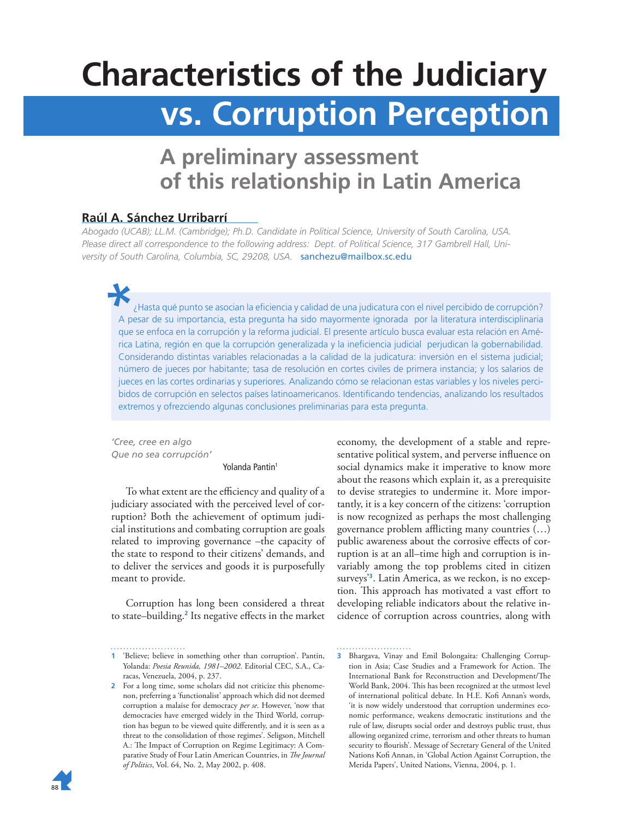# **Characteristics of the Judiciary vs. Corruption Perception**

## **A preliminary assessment of this relationship in Latin America**

## **Raúl A. Sánchez Urribarrí**

*Abogado (UCAB); LL.M. (Cambridge); Ph.D. Candidate in Political Science, University of South Carolina, USA. Please direct all correspondence to the following address: Dept. of Political Science, 317 Gambrell Hall, University of South Carolina, Columbia, SC, 29208, USA.* sanchezu@mailbox.sc.edu

¿Hasta qué punto se asocian la eficiencia y calidad de una judicatura con el nivel percibido de corrupción? A pesar de su importancia, esta pregunta ha sido mayormente ignorada por la literatura interdisciplinaria que se enfoca en la corrupción y la reforma judicial. El presente artículo busca evaluar esta relación en América Latina, región en que la corrupción generalizada y la ineficiencia judicial perjudican la gobernabilidad. Considerando distintas variables relacionadas a la calidad de la judicatura: inversión en el sistema judicial; número de jueces por habitante; tasa de resolución en cortes civiles de primera instancia; y los salarios de jueces en las cortes ordinarias y superiores. Analizando cómo se relacionan estas variables y los niveles percibidos de corrupción en selectos países latinoamericanos. Identificando tendencias, analizando los resultados extremos y ofrezciendo algunas conclusiones preliminarias para esta pregunta.

*'Cree, cree en algo Que no sea corrupción'* 

Yolanda Pantin<sup>1</sup>

To what extent are the efficiency and quality of a judiciary associated with the perceived level of corruption? Both the achievement of optimum judicial institutions and combating corruption are goals related to improving governance –the capacity of the state to respond to their citizens' demands, and to deliver the services and goods it is purposefully meant to provide.

Corruption has long been considered a threat to state–building.**<sup>2</sup>** Its negative effects in the market economy, the development of a stable and representative political system, and perverse influence on social dynamics make it imperative to know more about the reasons which explain it, as a prerequisite to devise strategies to undermine it. More importantly, it is a key concern of the citizens: 'corruption is now recognized as perhaps the most challenging governance problem afflicting many countries (…) public awareness about the corrosive effects of corruption is at an all–time high and corruption is invariably among the top problems cited in citizen surveys'**<sup>3</sup>** . Latin America, as we reckon, is no exception. This approach has motivated a vast effort to developing reliable indicators about the relative incidence of corruption across countries, along with



**<sup>1</sup>** 'Believe; believe in something other than corruption'. Pantin, Yolanda: *Poesia Reunida, 1981–2002*. Editorial CEC, S.A., Caracas, Venezuela, 2004, p. 237.

**<sup>2</sup>** For a long time, some scholars did not criticize this phenomenon, preferring a 'functionalist' approach which did not deemed corruption a malaise for democracy *per se*. However, 'now that democracies have emerged widely in the Third World, corruption has begun to be viewed quite differently, and it is seen as a threat to the consolidation of those regimes'. Seligson, Mitchell A.: The Impact of Corruption on Regime Legitimacy: A Comparative Study of Four Latin American Countries, in *The Journal of Politics*, Vol. 64, No. 2, May 2002, p. 408.

**<sup>3</sup>** Bhargava, Vinay and Emil Bolongaita: Challenging Corruption in Asia; Case Studies and a Framework for Action. The International Bank for Reconstruction and Development/The World Bank, 2004. This has been recognized at the utmost level of international political debate. In H.E. Kofi Annan's words, 'it is now widely understood that corruption undermines economic performance, weakens democratic institutions and the rule of law, disrupts social order and destroys public trust, thus allowing organized crime, terrorism and other threats to human security to flourish'. Message of Secretary General of the United Nations Kofi Annan, in 'Global Action Against Corruption, the Merida Papers', United Nations, Vienna, 2004, p. 1.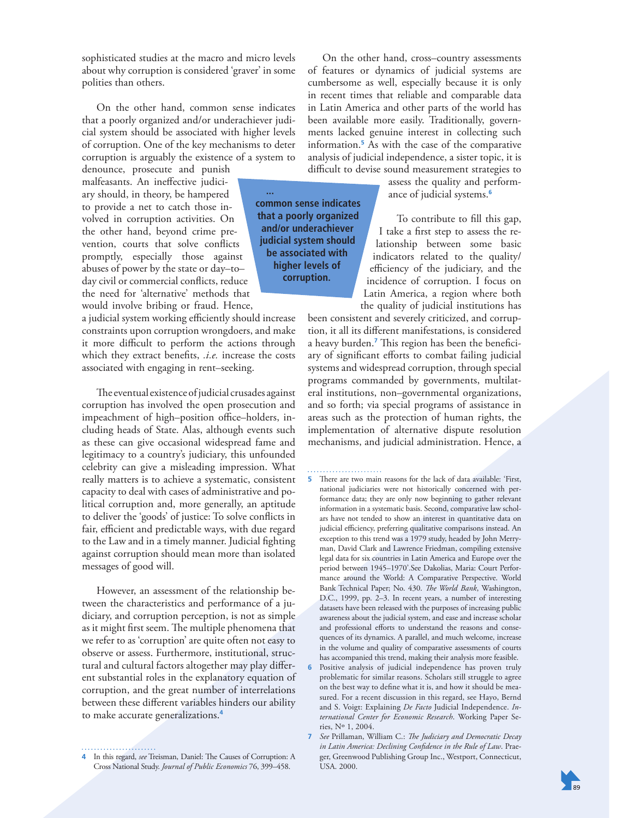sophisticated studies at the macro and micro levels about why corruption is considered 'graver' in some polities than others.

On the other hand, common sense indicates that a poorly organized and/or underachiever judicial system should be associated with higher levels of corruption. One of the key mechanisms to deter corruption is arguably the existence of a system to

denounce, prosecute and punish malfeasants. An ineffective judiciary should, in theory, be hampered to provide a net to catch those involved in corruption activities. On the other hand, beyond crime prevention, courts that solve conflicts promptly, especially those against abuses of power by the state or day–to– day civil or commercial conflicts, reduce the need for 'alternative' methods that would involve bribing or fraud. Hence,

a judicial system working efficiently should increase constraints upon corruption wrongdoers, and make it more difficult to perform the actions through which they extract benefits, *.i.e.* increase the costs associated with engaging in rent–seeking.

The eventual existence of judicial crusades against corruption has involved the open prosecution and impeachment of high–position office–holders, including heads of State. Alas, although events such as these can give occasional widespread fame and legitimacy to a country's judiciary, this unfounded celebrity can give a misleading impression. What really matters is to achieve a systematic, consistent capacity to deal with cases of administrative and political corruption and, more generally, an aptitude to deliver the 'goods' of justice: To solve conflicts in fair, efficient and predictable ways, with due regard to the Law and in a timely manner. Judicial fighting against corruption should mean more than isolated messages of good will.

However, an assessment of the relationship between the characteristics and performance of a judiciary, and corruption perception, is not as simple as it might first seem. The multiple phenomena that we refer to as 'corruption' are quite often not easy to observe or assess. Furthermore, institutional, structural and cultural factors altogether may play different substantial roles in the explanatory equation of corruption, and the great number of interrelations between these different variables hinders our ability to make accurate generalizations.**<sup>4</sup>**

**4** In this regard, see Treisman, Daniel: The Causes of Corruption: A Cross National Study. *Journal of Public Economics* 76, 399–458.

. . . . . . . . . . . . . . . . . . . .

On the other hand, cross–country assessments of features or dynamics of judicial systems are cumbersome as well, especially because it is only in recent times that reliable and comparable data in Latin America and other parts of the world has been available more easily. Traditionally, governments lacked genuine interest in collecting such information.**<sup>5</sup>** As with the case of the comparative analysis of judicial independence, a sister topic, it is difficult to devise sound measurement strategies to

> assess the quality and performance of judicial systems.**<sup>6</sup>**

**common sense indicates that a poorly organized and/or underachiever judicial system should be associated with higher levels of corruption.** 

**...** 

To contribute to fill this gap, I take a first step to assess the relationship between some basic indicators related to the quality/ efficiency of the judiciary, and the incidence of corruption. I focus on Latin America, a region where both the quality of judicial institutions has

been consistent and severely criticized, and corruption, it all its different manifestations, is considered a heavy burden.<sup>7</sup> This region has been the beneficiary of significant efforts to combat failing judicial systems and widespread corruption, through special programs commanded by governments, multilateral institutions, non–governmental organizations, and so forth; via special programs of assistance in areas such as the protection of human rights, the implementation of alternative dispute resolution mechanisms, and judicial administration. Hence, a

. . . . . . . . . . . . . . . . . . .

- **5** There are two main reasons for the lack of data available: 'First, national judiciaries were not historically concerned with performance data; they are only now beginning to gather relevant information in a systematic basis. Second, comparative law scholars have not tended to show an interest in quantitative data on judicial efficiency, preferring qualitative comparisons instead. An exception to this trend was a 1979 study, headed by John Merryman, David Clark and Lawrence Friedman, compiling extensive legal data for six countries in Latin America and Europe over the period between 1945–1970'.See Dakolias, Maria: Court Performance around the World: A Comparative Perspective. World Bank Technical Paper; No. 430. *The World Bank*, Washington, D.C., 1999, pp. 2–3. In recent years, a number of interesting datasets have been released with the purposes of increasing public awareness about the judicial system, and ease and increase scholar and professional efforts to understand the reasons and consequences of its dynamics. A parallel, and much welcome, increase in the volume and quality of comparative assessments of courts has accompanied this trend, making their analysis more feasible.
- **6** Positive analysis of judicial independence has proven truly problematic for similar reasons. Scholars still struggle to agree on the best way to define what it is, and how it should be measured. For a recent discussion in this regard, see Hayo, Bernd and S. Voigt: Explaining *De Facto* Judicial Independence. *International Center for Economic Research*. Working Paper Series, Nº 1, 2004.
- **7** *See* Prillaman, William C.: *The Judiciary and Democratic Decay in Latin America: Declining Confidence in the Rule of Law*. Praeger, Greenwood Publishing Group Inc., Westport, Connecticut, USA. 2000.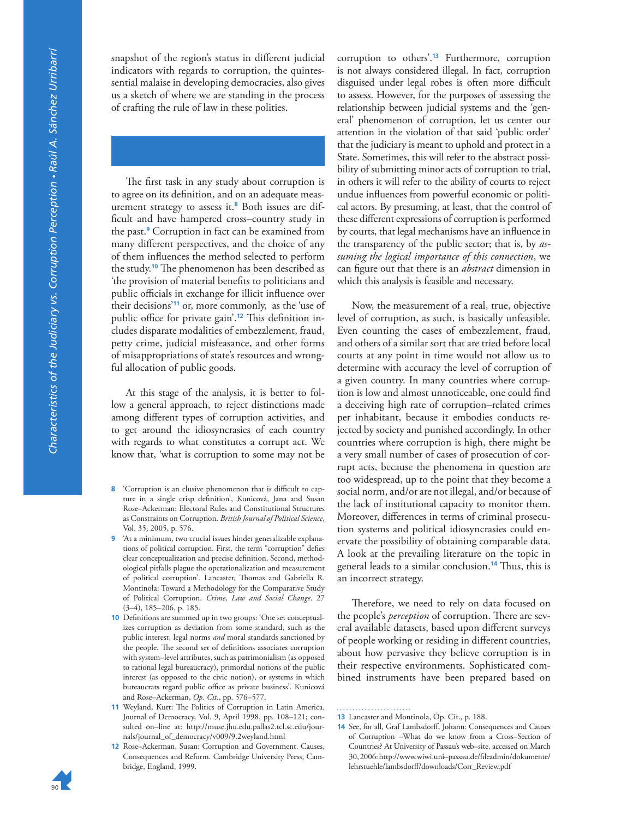snapshot of the region's status in different judicial indicators with regards to corruption, the quintessential malaise in developing democracies, also gives us a sketch of where we are standing in the process of crafting the rule of law in these polities.

The first task in any study about corruption is to agree on its definition, and on an adequate measurement strategy to assess it.**<sup>8</sup>** Both issues are difficult and have hampered cross–country study in the past.**<sup>9</sup>** Corruption in fact can be examined from many different perspectives, and the choice of any of them influences the method selected to perform the study.<sup>10</sup> The phenomenon has been described as 'the provision of material benefits to politicians and public officials in exchange for illicit influence over their decisions'**<sup>11</sup>** or, more commonly, as the 'use of public office for private gain'.<sup>12</sup> This definition includes disparate modalities of embezzlement, fraud, petty crime, judicial misfeasance, and other forms of misappropriations of state's resources and wrongful allocation of public goods.

At this stage of the analysis, it is better to follow a general approach, to reject distinctions made among different types of corruption activities, and to get around the idiosyncrasies of each country with regards to what constitutes a corrupt act. We know that, 'what is corruption to some may not be

- **8** 'Corruption is an elusive phenomenon that is difficult to capture in a single crisp definition', Kunicová, Jana and Susan Rose–Ackerman: Electoral Rules and Constitutional Structures as Constraints on Corruption. *British Journal of Political Science*, Vol. 35, 2005, p. 576.
- **9** 'At a minimum, two crucial issues hinder generalizable explanations of political corruption. First, the term "corruption" defies clear conceptualization and precise definition. Second, methodological pitfalls plague the operationalization and measurement of political corruption'. Lancaster, Thomas and Gabriella R. Montinola: Toward a Methodology for the Comparative Study of Political Corruption. *Crime, Law and Social Change*. 27 (3–4), 185–206, p. 185.
- **10** Definitions are summed up in two groups: 'One set conceptualizes corruption as deviation from some standard, such as the public interest, legal norms *and* moral standards sanctioned by the people. The second set of definitions associates corruption with system–level attributes, such as patrimonialism (as opposed to rational legal bureaucracy), primordial notions of the public interest (as opposed to the civic notion), or systems in which bureaucrats regard public office as private business'. Kunicová and Rose–Ackerman, *Op. Cit.*, pp. 576–577.
- 11 Weyland, Kurt: The Politics of Corruption in Latin America. Journal of Democracy, Vol. 9, April 1998, pp. 108–121; consulted on–line at: http://muse.jhu.edu.pallas2.tcl.sc.edu/journals/journal\_of\_democracy/v009/9.2weyland.html
- **12** Rose–Ackerman, Susan: Corruption and Government. Causes, Consequences and Reform. Cambridge University Press, Cambridge, England, 1999.

corruption to others'.**<sup>13</sup>** Furthermore, corruption is not always considered illegal. In fact, corruption disguised under legal robes is often more difficult to assess. However, for the purposes of assessing the relationship between judicial systems and the 'general' phenomenon of corruption, let us center our attention in the violation of that said 'public order' that the judiciary is meant to uphold and protect in a State. Sometimes, this will refer to the abstract possibility of submitting minor acts of corruption to trial, in others it will refer to the ability of courts to reject undue influences from powerful economic or political actors. By presuming, at least, that the control of these different expressions of corruption is performed by courts, that legal mechanisms have an influence in the transparency of the public sector; that is, by *assuming the logical importance of this connection*, we can figure out that there is an *abstract* dimension in which this analysis is feasible and necessary.

Now, the measurement of a real, true, objective level of corruption, as such, is basically unfeasible. Even counting the cases of embezzlement, fraud, and others of a similar sort that are tried before local courts at any point in time would not allow us to determine with accuracy the level of corruption of a given country. In many countries where corruption is low and almost unnoticeable, one could find a deceiving high rate of corruption–related crimes per inhabitant, because it embodies conducts rejected by society and punished accordingly. In other countries where corruption is high, there might be a very small number of cases of prosecution of corrupt acts, because the phenomena in question are too widespread, up to the point that they become a social norm, and/or are not illegal, and/or because of the lack of institutional capacity to monitor them. Moreover, differences in terms of criminal prosecution systems and political idiosyncrasies could enervate the possibility of obtaining comparable data. A look at the prevailing literature on the topic in general leads to a similar conclusion.<sup>14</sup> Thus, this is an incorrect strategy.

Therefore, we need to rely on data focused on the people's *perception* of corruption. There are several available datasets, based upon different surveys of people working or residing in different countries, about how pervasive they believe corruption is in their respective environments. Sophisticated combined instruments have been prepared based on

**13** Lancaster and Montinola, Op. Cit., p. 188.

**14** See, for all, Graf Lambsdorff, Johann: Consequences and Causes of Corruption –What do we know from a Cross–Section of Countries? At University of Passau's web–site, accessed on March 30, 2006: http://www.wiwi.uni–passau.de/fileadmin/dokumente/ lehrstuehle/lambsdorff/downloads/Corr\_Review.pdf

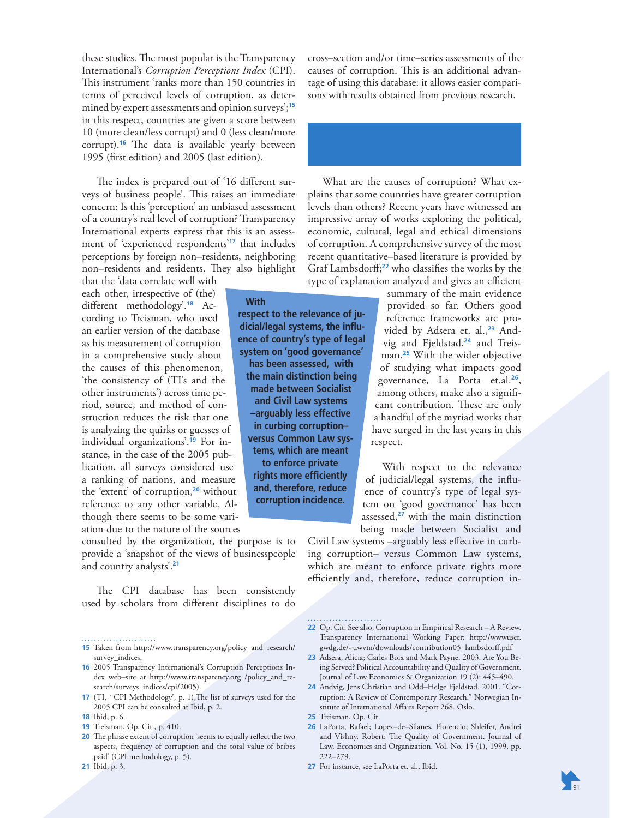these studies. The most popular is the Transparency International's *Corruption Perceptions Index* (CPI). This instrument 'ranks more than 150 countries in terms of perceived levels of corruption, as determined by expert assessments and opinion surveys';**<sup>15</sup>** in this respect, countries are given a score between 10 (more clean/less corrupt) and 0 (less clean/more corrupt).<sup>16</sup> The data is available yearly between 1995 (first edition) and 2005 (last edition).

The index is prepared out of '16 different surveys of business people'. This raises an immediate concern: Is this 'perception' an unbiased assessment of a country's real level of corruption? Transparency International experts express that this is an assessment of 'experienced respondents'**<sup>17</sup>** that includes perceptions by foreign non–residents, neighboring non-residents and residents. They also highlight

**With** 

**respect to the relevance of judicial/legal systems, the influence of country's type of legal system on 'good governance' has been assessed, with the main distinction being made between Socialist and Civil Law systems –arguably less effective in curbing corruption– versus Common Law systems, which are meant to enforce private rights more efficiently and, therefore, reduce corruption incidence.** 

that the 'data correlate well with each other, irrespective of (the) different methodology'.**18** According to Treisman, who used an earlier version of the database as his measurement of corruption in a comprehensive study about the causes of this phenomenon, 'the consistency of (TI's and the other instruments') across time period, source, and method of construction reduces the risk that one is analyzing the quirks or guesses of individual organizations'.**19** For instance, in the case of the 2005 publication, all surveys considered use a ranking of nations, and measure the 'extent' of corruption,**<sup>20</sup>** without reference to any other variable. Although there seems to be some variation due to the nature of the sources

consulted by the organization, the purpose is to provide a 'snapshot of the views of businesspeople and country analysts'.**<sup>21</sup>**

The CPI database has been consistently used by scholars from different disciplines to do

**15** Taken from http://www.transparency.org/policy\_and\_research/

. . . . . . . . . . . . . . . . . . .

- survey\_indices. **16** 2005 Transparency International's Corruption Perceptions In-
- dex web–site at http://www.transparency.org /policy\_and\_research/surveys\_indices/cpi/2005).
- **17** (TI, ' CPI Methodology', p. 1), The list of surveys used for the 2005 CPI can be consulted at Ibid, p. 2.
- **18** Ibid, p. 6.
- **19** Treisman, Op. Cit., p. 410.
- **20** The phrase extent of corruption 'seems to equally reflect the two aspects, frequency of corruption and the total value of bribes paid' (CPI methodology, p. 5).
- **21** Ibid, p. 3.

cross–section and/or time–series assessments of the causes of corruption. This is an additional advantage of using this database: it allows easier comparisons with results obtained from previous research.

What are the causes of corruption? What explains that some countries have greater corruption levels than others? Recent years have witnessed an impressive array of works exploring the political, economic, cultural, legal and ethical dimensions of corruption. A comprehensive survey of the most recent quantitative–based literature is provided by Graf Lambsdorff;**<sup>22</sup>** who classifies the works by the type of explanation analyzed and gives an efficient

> summary of the main evidence provided so far. Others good reference frameworks are provided by Adsera et. al.,**23** Andvig and Fjeldstad,**24** and Treisman.**<sup>25</sup>** With the wider objective of studying what impacts good governance, La Porta et.al.**<sup>26</sup>** , among others, make also a significant contribution. These are only a handful of the myriad works that have surged in the last years in this respect.

With respect to the relevance of judicial/legal systems, the influence of country's type of legal system on 'good governance' has been assessed,**<sup>27</sup>** with the main distinction being made between Socialist and

Civil Law systems –arguably less effective in curbing corruption– versus Common Law systems, which are meant to enforce private rights more efficiently and, therefore, reduce corruption in-

**22** Op. Cit. See also, Corruption in Empirical Research – A Review. Transparency International Working Paper: http://wwwuser. gwdg.de/~uwvm/downloads/contribution05\_lambsdorff.pdf

- **23** Adsera, Alicia; Carles Boix and Mark Payne. 2003. Are You Being Served? Political Accountability and Quality of Government. Journal of Law Economics & Organization 19 (2): 445–490.
- **24** Andvig, Jens Christian and Odd–Helge Fjeldstad. 2001. "Corruption: A Review of Contemporary Research." Norwegian Institute of International Affairs Report 268. Oslo.

**25** Treisman, Op. Cit.

- **26** LaPorta, Rafael; Lopez–de–Silanes, Florencio; Shleifer, Andrei and Vishny, Robert: The Quality of Government. Journal of Law, Economics and Organization. Vol. No. 15 (1), 1999, pp. 222–279.
- **27** For instance, see LaPorta et. al., Ibid.

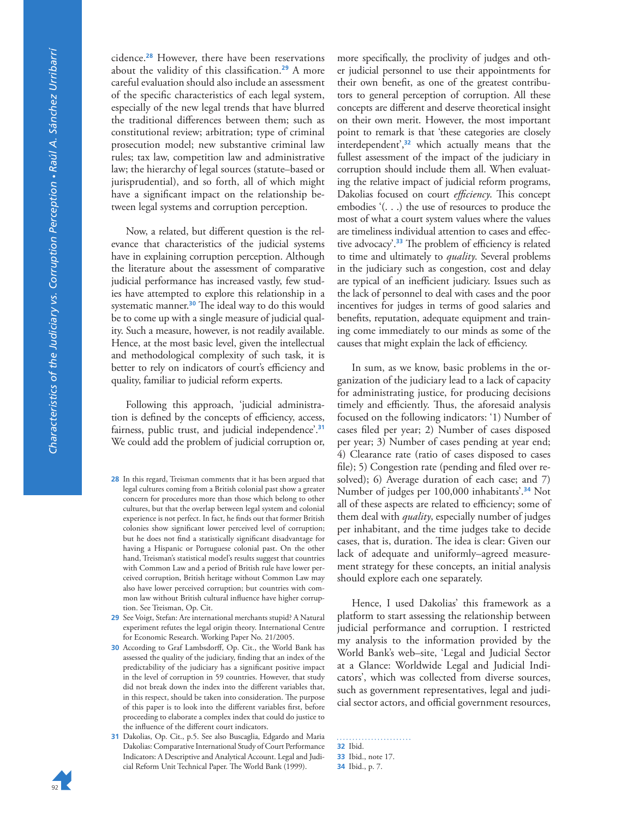cidence.**<sup>28</sup>** However, there have been reservations about the validity of this classification.**<sup>29</sup>** A more careful evaluation should also include an assessment of the specific characteristics of each legal system, especially of the new legal trends that have blurred the traditional differences between them; such as constitutional review; arbitration; type of criminal prosecution model; new substantive criminal law rules; tax law, competition law and administrative law; the hierarchy of legal sources (statute–based or jurisprudential), and so forth, all of which might have a significant impact on the relationship between legal systems and corruption perception.

Now, a related, but different question is the relevance that characteristics of the judicial systems have in explaining corruption perception. Although the literature about the assessment of comparative judicial performance has increased vastly, few studies have attempted to explore this relationship in a systematic manner.<sup>30</sup> The ideal way to do this would be to come up with a single measure of judicial quality. Such a measure, however, is not readily available. Hence, at the most basic level, given the intellectual and methodological complexity of such task, it is better to rely on indicators of court's efficiency and quality, familiar to judicial reform experts.

Following this approach, 'judicial administration is defined by the concepts of efficiency, access, fairness, public trust, and judicial independence'.**<sup>31</sup>** We could add the problem of judicial corruption or,

- **28** In this regard, Treisman comments that it has been argued that legal cultures coming from a British colonial past show a greater concern for procedures more than those which belong to other cultures, but that the overlap between legal system and colonial experience is not perfect. In fact, he finds out that former British colonies show significant lower perceived level of corruption; but he does not find a statistically significant disadvantage for having a Hispanic or Portuguese colonial past. On the other hand, Treisman's statistical model's results suggest that countries with Common Law and a period of British rule have lower perceived corruption, British heritage without Common Law may also have lower perceived corruption; but countries with common law without British cultural influence have higher corruption. See Treisman, Op. Cit.
- **29** See Voigt, Stefan: Are international merchants stupid? A Natural experiment refutes the legal origin theory. International Centre for Economic Research. Working Paper No. 21/2005.
- **30** According to Graf Lambsdorff, Op. Cit., the World Bank has assessed the quality of the judiciary, finding that an index of the predictability of the judiciary has a significant positive impact in the level of corruption in 59 countries. However, that study did not break down the index into the different variables that, in this respect, should be taken into consideration. The purpose of this paper is to look into the different variables first, before proceeding to elaborate a complex index that could do justice to the influence of the different court indicators.
- **31** Dakolias, Op. Cit., p.5. See also Buscaglia, Edgardo and Maria Dakolias: Comparative International Study of Court Performance Indicators: A Descriptive and Analytical Account. Legal and Judicial Reform Unit Technical Paper. The World Bank (1999).

more specifically, the proclivity of judges and other judicial personnel to use their appointments for their own benefit, as one of the greatest contributors to general perception of corruption. All these concepts are different and deserve theoretical insight on their own merit. However, the most important point to remark is that 'these categories are closely interdependent',**<sup>32</sup>** which actually means that the fullest assessment of the impact of the judiciary in corruption should include them all. When evaluating the relative impact of judicial reform programs, Dakolias focused on court *efficiency*. This concept embodies '(. . .) the use of resources to produce the most of what a court system values where the values are timeliness individual attention to cases and effective advocacy'.<sup>33</sup> The problem of efficiency is related to time and ultimately to *quality*. Several problems in the judiciary such as congestion, cost and delay are typical of an inefficient judiciary. Issues such as the lack of personnel to deal with cases and the poor incentives for judges in terms of good salaries and benefits, reputation, adequate equipment and training come immediately to our minds as some of the causes that might explain the lack of efficiency.

In sum, as we know, basic problems in the organization of the judiciary lead to a lack of capacity for administrating justice, for producing decisions timely and efficiently. Thus, the aforesaid analysis focused on the following indicators: '1) Number of cases filed per year; 2) Number of cases disposed per year; 3) Number of cases pending at year end; 4) Clearance rate (ratio of cases disposed to cases file); 5) Congestion rate (pending and filed over resolved); 6) Average duration of each case; and 7) Number of judges per 100,000 inhabitants'.**<sup>34</sup>** Not all of these aspects are related to efficiency; some of them deal with *quality*, especially number of judges per inhabitant, and the time judges take to decide cases, that is, duration. The idea is clear: Given our lack of adequate and uniformly–agreed measurement strategy for these concepts, an initial analysis should explore each one separately.

Hence, I used Dakolias' this framework as a platform to start assessing the relationship between judicial performance and corruption. I restricted my analysis to the information provided by the World Bank's web–site, 'Legal and Judicial Sector at a Glance: Worldwide Legal and Judicial Indicators', which was collected from diverse sources, such as government representatives, legal and judicial sector actors, and official government resources,

**32** Ibid. **33** Ibid., note 17. **34** Ibid., p. 7.

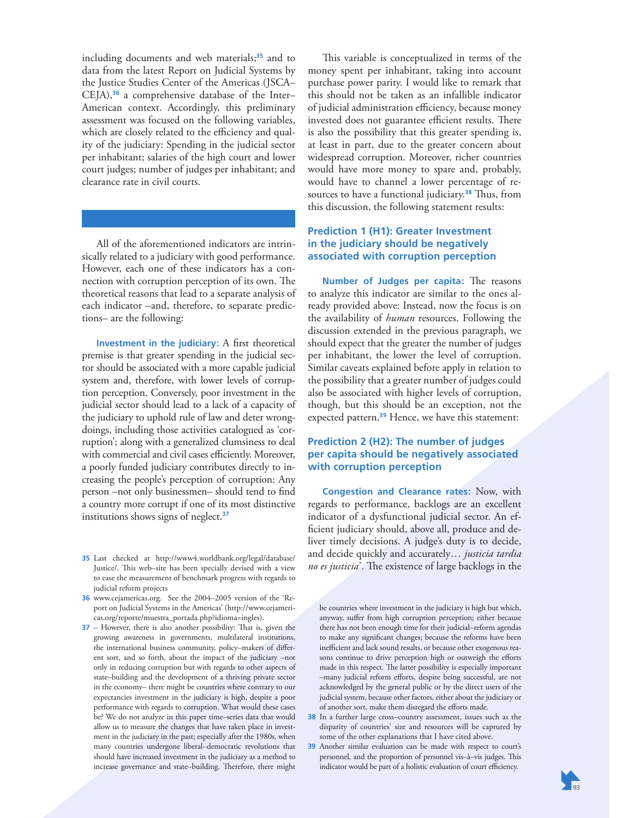including documents and web materials;**<sup>35</sup>** and to data from the latest Report on Judicial Systems by the Justice Studies Center of the Americas (JSCA– CEJA),**<sup>36</sup>** a comprehensive database of the Inter– American context. Accordingly, this preliminary assessment was focused on the following variables, which are closely related to the efficiency and quality of the judiciary: Spending in the judicial sector per inhabitant; salaries of the high court and lower court judges; number of judges per inhabitant; and clearance rate in civil courts.

All of the aforementioned indicators are intrinsically related to a judiciary with good performance. However, each one of these indicators has a connection with corruption perception of its own. The theoretical reasons that lead to a separate analysis of each indicator –and, therefore, to separate predictions– are the following:

**Investment in the judiciary:** A first theoretical premise is that greater spending in the judicial sector should be associated with a more capable judicial system and, therefore, with lower levels of corruption perception. Conversely, poor investment in the judicial sector should lead to a lack of a capacity of the judiciary to uphold rule of law and deter wrongdoings, including those activities catalogued as 'corruption'; along with a generalized clumsiness to deal with commercial and civil cases efficiently. Moreover, a poorly funded judiciary contributes directly to increasing the people's perception of corruption: Any person –not only businessmen– should tend to find a country more corrupt if one of its most distinctive institutions shows signs of neglect.**<sup>37</sup>**

- **35** Last checked at http://www4.worldbank.org/legal/database/ Justice/. This web-site has been specially devised with a view to ease the measurement of benchmark progress with regards to judicial reform projects
- **36** www.cejamericas.org. See the 2004–2005 version of the 'Report on Judicial Systems in the Americas' (http://www.cejamericas.org/reporte/muestra\_portada.php?idioma=ingles).
- **37** However, there is also another possibility: That is, given the growing awareness in governments, multilateral institutions, the international business community, policy–makers of different sort, and so forth, about the impact of the judiciary –not only in reducing corruption but with regards to other aspects of state–building and the development of a thriving private sector in the economy– there might be countries where contrary to our expectancies investment in the judiciary is high, despite a poor performance with regards to corruption. What would these cases be? We do not analyze in this paper time–series data that would allow us to measure the changes that have taken place in investment in the judiciary in the past; especially after the 1980s, when many countries undergone liberal–democratic revolutions that should have increased investment in the judiciary as a method to increase governance and state-building. Therefore, there might

This variable is conceptualized in terms of the money spent per inhabitant, taking into account purchase power parity. I would like to remark that this should not be taken as an infallible indicator of judicial administration efficiency, because money invested does not guarantee efficient results. There is also the possibility that this greater spending is, at least in part, due to the greater concern about widespread corruption. Moreover, richer countries would have more money to spare and, probably, would have to channel a lower percentage of resources to have a functional judiciary.<sup>38</sup> Thus, from this discussion, the following statement results:

#### **Prediction 1 (H1): Greater Investment in the judiciary should be negatively associated with corruption perception**

**Number of Judges per capita:** The reasons to analyze this indicator are similar to the ones already provided above: Instead, now the focus is on the availability of *human* resources. Following the discussion extended in the previous paragraph, we should expect that the greater the number of judges per inhabitant, the lower the level of corruption. Similar caveats explained before apply in relation to the possibility that a greater number of judges could also be associated with higher levels of corruption, though, but this should be an exception, not the expected pattern.**<sup>39</sup>** Hence, we have this statement:

## **Prediction 2 (H2): The number of judges per capita should be negatively associated with corruption perception**

**Congestion and Clearance rates:** Now, with regards to performance, backlogs are an excellent indicator of a dysfunctional judicial sector. An efficient judiciary should, above all, produce and deliver timely decisions. A judge's duty is to decide, and decide quickly and accurately… *justicia tardia*  no es justicia<sup>2</sup>. The existence of large backlogs in the

be countries where investment in the judiciary is high but which, anyway, suffer from high corruption perception; either because there has not been enough time for their judicial–reform agendas to make any significant changes; because the reforms have been inefficient and lack sound results, or because other exogenous reasons continue to drive perception high or outweigh the efforts made in this respect. The latter possibility is especially important –many judicial reform efforts, despite being successful, are not acknowledged by the general public or by the direct users of the judicial system, because other factors, either about the judiciary or of another sort, make them disregard the efforts made.

- **38** In a further large cross–country assessment, issues such as the disparity of countries' size and resources will be captured by some of the other explanations that I have cited above.
- **39** Another similar evaluation can be made with respect to court's personnel, and the proportion of personnel vis-à-vis judges. This indicator would be part of a holistic evaluation of court efficiency.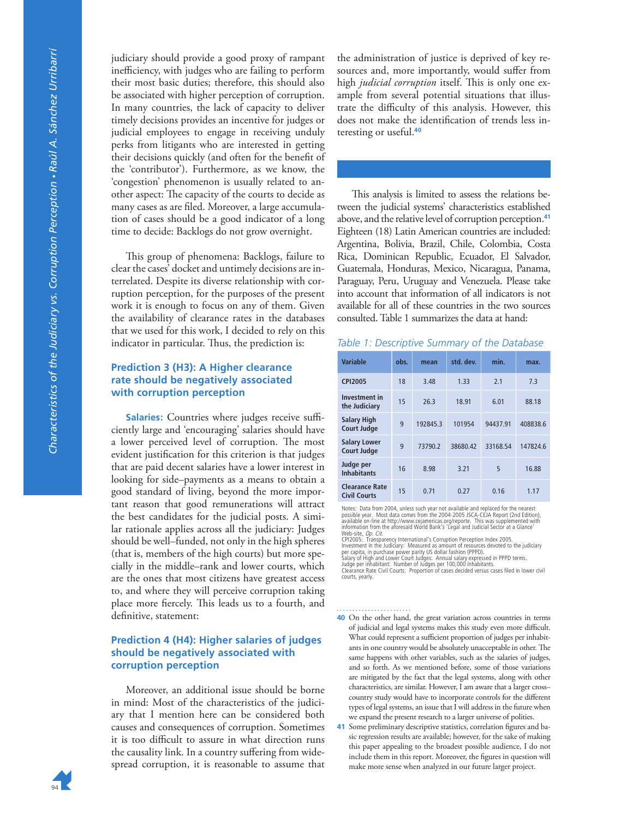judiciary should provide a good proxy of rampant inefficiency, with judges who are failing to perform their most basic duties; therefore, this should also be associated with higher perception of corruption. In many countries, the lack of capacity to deliver timely decisions provides an incentive for judges or judicial employees to engage in receiving unduly perks from litigants who are interested in getting their decisions quickly (and often for the benefit of the 'contributor'). Furthermore, as we know, the 'congestion' phenomenon is usually related to another aspect: The capacity of the courts to decide as many cases as are filed. Moreover, a large accumulation of cases should be a good indicator of a long time to decide: Backlogs do not grow overnight.

This group of phenomena: Backlogs, failure to clear the cases' docket and untimely decisions are interrelated. Despite its diverse relationship with corruption perception, for the purposes of the present work it is enough to focus on any of them. Given the availability of clearance rates in the databases that we used for this work, I decided to rely on this indicator in particular. Thus, the prediction is:

### **Prediction 3 (H3): A Higher clearance rate should be negatively associated with corruption perception**

**Salaries:** Countries where judges receive sufficiently large and 'encouraging' salaries should have a lower perceived level of corruption. The most evident justification for this criterion is that judges that are paid decent salaries have a lower interest in looking for side–payments as a means to obtain a good standard of living, beyond the more important reason that good remunerations will attract the best candidates for the judicial posts. A similar rationale applies across all the judiciary: Judges should be well–funded, not only in the high spheres (that is, members of the high courts) but more specially in the middle–rank and lower courts, which are the ones that most citizens have greatest access to, and where they will perceive corruption taking place more fiercely. This leads us to a fourth, and definitive, statement:

#### **Prediction 4 (H4): Higher salaries of judges should be negatively associated with corruption perception**

Moreover, an additional issue should be borne in mind: Most of the characteristics of the judiciary that I mention here can be considered both causes and consequences of corruption. Sometimes it is too difficult to assure in what direction runs the causality link. In a country suffering from widespread corruption, it is reasonable to assume that

the administration of justice is deprived of key resources and, more importantly, would suffer from high *judicial corruption* itself. This is only one example from several potential situations that illustrate the difficulty of this analysis. However, this does not make the identification of trends less interesting or useful.**<sup>40</sup>**

This analysis is limited to assess the relations between the judicial systems' characteristics established above, and the relative level of corruption perception.**<sup>41</sup>** Eighteen (18) Latin American countries are included: Argentina, Bolivia, Brazil, Chile, Colombia, Costa Rica, Dominican Republic, Ecuador, El Salvador, Guatemala, Honduras, Mexico, Nicaragua, Panama, Paraguay, Peru, Uruguay and Venezuela. Please take into account that information of all indicators is not available for all of these countries in the two sources consulted. Table 1 summarizes the data at hand:

#### *Table 1: Descriptive Summary of the Database*

| <b>Variable</b>                              | obs. | mean     | std. dev. | min.     | max.     |
|----------------------------------------------|------|----------|-----------|----------|----------|
| <b>CPI2005</b>                               | 18   | 3.48     | 1.33      | 2.1      | 7.3      |
| <b>Investment in</b><br>the Judiciary        | 15   | 26.3     | 18.91     | 6.01     | 88.18    |
| <b>Salary High</b><br><b>Court Judge</b>     | 9    | 192845.3 | 101954    | 94437.91 | 408838.6 |
| <b>Salary Lower</b><br><b>Court Judge</b>    | 9    | 73790.2  | 38680.42  | 33168.54 | 147824.6 |
| Judge per<br><b>Inhabitants</b>              | 16   | 8.98     | 3.21      | 5        | 16.88    |
| <b>Clearance Rate</b><br><b>Civil Courts</b> | 15   | 0.71     | 0.27      | 0.16     | 1.17     |

Notes: Data from 2004, unless such year not available and replaced for the nearest<br>possible year. Most data comes from the 2004-2005 JSCA-CEIA Report (2nd Edition)<br>available on-line at http://www.cejamericas.org/reporte. T

Web-site, *Op. Cit.*<br>CPI2005: Transparency International's Corruption Perception Index 2005.<br>Investment in the Judiciary: Measured as amount of resources devoted to the judiciary<br>per capita, in purchase power parity US dol courts, yearly.

- **40** On the other hand, the great variation across countries in terms of judicial and legal systems makes this study even more difficult. What could represent a sufficient proportion of judges per inhabitants in one country would be absolutely unacceptable in other. The same happens with other variables, such as the salaries of judges, and so forth. As we mentioned before, some of those variations are mitigated by the fact that the legal systems, along with other characteristics, are similar. However, I am aware that a larger cross– country study would have to incorporate controls for the different types of legal systems, an issue that I will address in the future when we expand the present research to a larger universe of polities.
- **41** Some preliminary descriptive statistics, correlation figures and basic regression results are available; however, for the sake of making this paper appealing to the broadest possible audience, I do not include them in this report. Moreover, the figures in question will make more sense when analyzed in our future larger project.

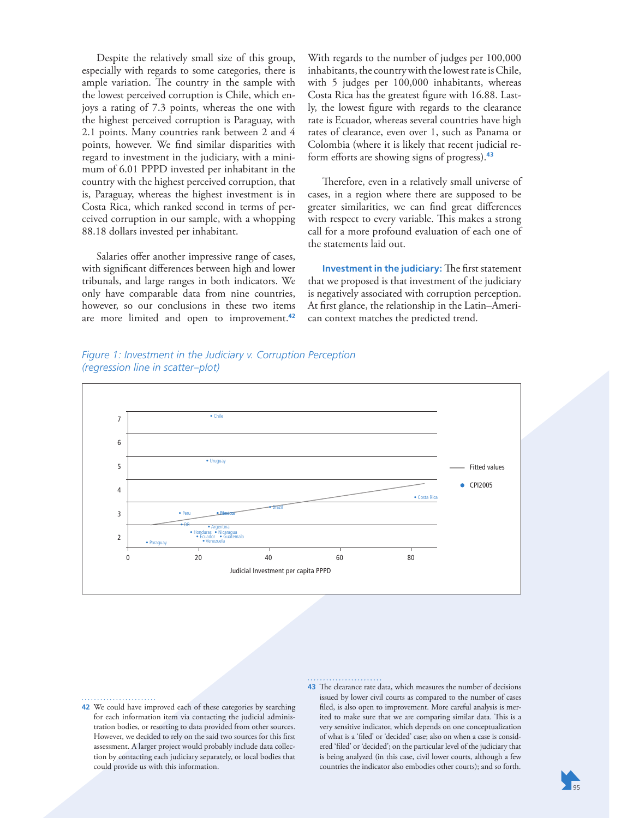Despite the relatively small size of this group, especially with regards to some categories, there is ample variation. The country in the sample with the lowest perceived corruption is Chile, which enjoys a rating of 7.3 points, whereas the one with the highest perceived corruption is Paraguay, with 2.1 points. Many countries rank between 2 and 4 points, however. We find similar disparities with regard to investment in the judiciary, with a minimum of 6.01 PPPD invested per inhabitant in the country with the highest perceived corruption, that is, Paraguay, whereas the highest investment is in Costa Rica, which ranked second in terms of perceived corruption in our sample, with a whopping 88.18 dollars invested per inhabitant.

Salaries offer another impressive range of cases, with significant differences between high and lower tribunals, and large ranges in both indicators. We only have comparable data from nine countries, however, so our conclusions in these two items are more limited and open to improvement.**<sup>42</sup>** With regards to the number of judges per 100,000 inhabitants, the country with the lowest rate is Chile, with 5 judges per 100,000 inhabitants, whereas Costa Rica has the greatest figure with 16.88. Lastly, the lowest figure with regards to the clearance rate is Ecuador, whereas several countries have high rates of clearance, even over 1, such as Panama or Colombia (where it is likely that recent judicial reform efforts are showing signs of progress).**<sup>43</sup>**

Therefore, even in a relatively small universe of cases, in a region where there are supposed to be greater similarities, we can find great differences with respect to every variable. This makes a strong call for a more profound evaluation of each one of the statements laid out.

**Investment in the judiciary:** The first statement that we proposed is that investment of the judiciary is negatively associated with corruption perception. At first glance, the relationship in the Latin–American context matches the predicted trend.

#### *Figure 1: Investment in the Judiciary v. Corruption Perception (regression line in scatter–plot)*



**42** We could have improved each of these categories by searching for each information item via contacting the judicial administration bodies, or resorting to data provided from other sources. However, we decided to rely on the said two sources for this first assessment. A larger project would probably include data collection by contacting each judiciary separately, or local bodies that could provide us with this information.

43 The clearance rate data, which measures the number of decisions issued by lower civil courts as compared to the number of cases filed, is also open to improvement. More careful analysis is merited to make sure that we are comparing similar data. This is a very sensitive indicator, which depends on one conceptualization of what is a 'filed' or 'decided' case; also on when a case is considered 'filed' or 'decided'; on the particular level of the judiciary that is being analyzed (in this case, civil lower courts, although a few countries the indicator also embodies other courts); and so forth.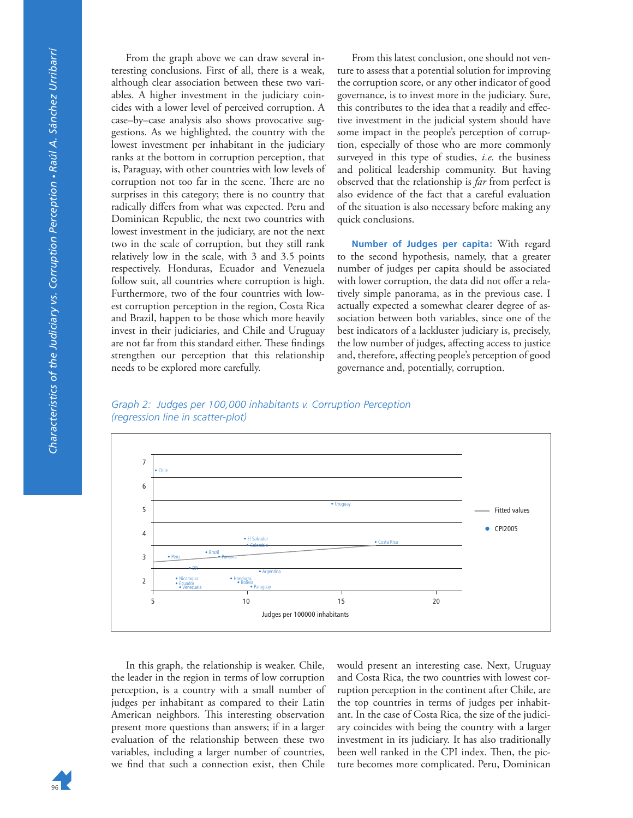From the graph above we can draw several interesting conclusions. First of all, there is a weak, although clear association between these two variables. A higher investment in the judiciary coincides with a lower level of perceived corruption. A case–by–case analysis also shows provocative suggestions. As we highlighted, the country with the lowest investment per inhabitant in the judiciary ranks at the bottom in corruption perception, that is, Paraguay, with other countries with low levels of corruption not too far in the scene. There are no surprises in this category; there is no country that radically differs from what was expected. Peru and Dominican Republic, the next two countries with lowest investment in the judiciary, are not the next two in the scale of corruption, but they still rank relatively low in the scale, with 3 and 3.5 points respectively. Honduras, Ecuador and Venezuela follow suit, all countries where corruption is high. Furthermore, two of the four countries with lowest corruption perception in the region, Costa Rica and Brazil, happen to be those which more heavily invest in their judiciaries, and Chile and Uruguay are not far from this standard either. These findings strengthen our perception that this relationship needs to be explored more carefully.

From this latest conclusion, one should not venture to assess that a potential solution for improving the corruption score, or any other indicator of good governance, is to invest more in the judiciary. Sure, this contributes to the idea that a readily and effective investment in the judicial system should have some impact in the people's perception of corruption, especially of those who are more commonly surveyed in this type of studies, *i.e.* the business and political leadership community. But having observed that the relationship is *far* from perfect is also evidence of the fact that a careful evaluation of the situation is also necessary before making any quick conclusions.

**Number of Judges per capita:** With regard to the second hypothesis, namely, that a greater number of judges per capita should be associated with lower corruption, the data did not offer a relatively simple panorama, as in the previous case. I actually expected a somewhat clearer degree of association between both variables, since one of the best indicators of a lackluster judiciary is, precisely, the low number of judges, affecting access to justice and, therefore, affecting people's perception of good governance and, potentially, corruption.

*Graph 2: Judges per 100,000 inhabitants v. Corruption Perception (regression line in scatter-plot)* 



In this graph, the relationship is weaker. Chile, the leader in the region in terms of low corruption perception, is a country with a small number of judges per inhabitant as compared to their Latin American neighbors. This interesting observation present more questions than answers; if in a larger evaluation of the relationship between these two variables, including a larger number of countries, we find that such a connection exist, then Chile

would present an interesting case. Next, Uruguay and Costa Rica, the two countries with lowest corruption perception in the continent after Chile, are the top countries in terms of judges per inhabitant. In the case of Costa Rica, the size of the judiciary coincides with being the country with a larger investment in its judiciary. It has also traditionally been well ranked in the CPI index. Then, the picture becomes more complicated. Peru, Dominican

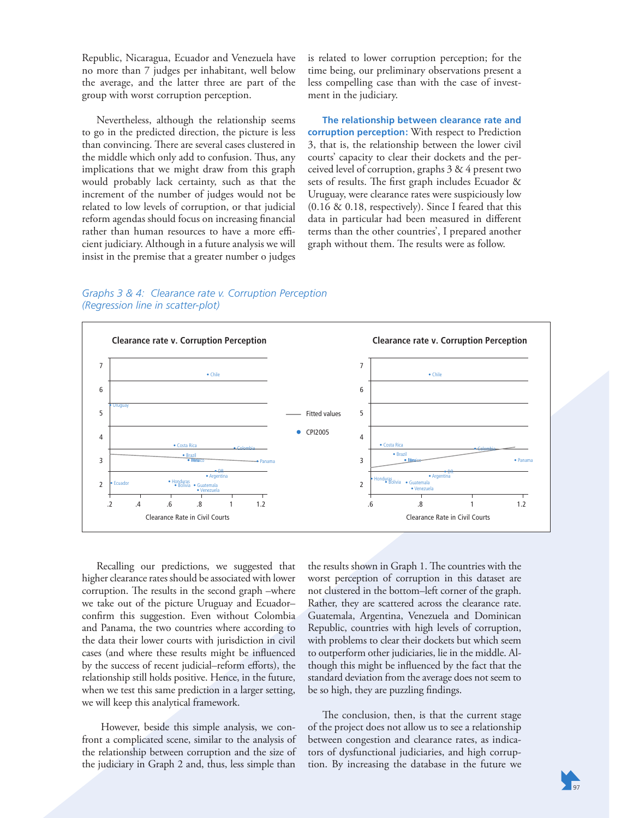Republic, Nicaragua, Ecuador and Venezuela have no more than 7 judges per inhabitant, well below the average, and the latter three are part of the group with worst corruption perception.

Nevertheless, although the relationship seems to go in the predicted direction, the picture is less than convincing. There are several cases clustered in the middle which only add to confusion. Thus, any implications that we might draw from this graph would probably lack certainty, such as that the increment of the number of judges would not be related to low levels of corruption, or that judicial reform agendas should focus on increasing financial rather than human resources to have a more efficient judiciary. Although in a future analysis we will insist in the premise that a greater number o judges is related to lower corruption perception; for the time being, our preliminary observations present a less compelling case than with the case of investment in the judiciary.

**The relationship between clearance rate and corruption perception:** With respect to Prediction 3, that is, the relationship between the lower civil courts' capacity to clear their dockets and the perceived level of corruption, graphs 3 & 4 present two sets of results. The first graph includes Ecuador  $\&$ Uruguay, were clearance rates were suspiciously low (0.16 & 0.18, respectively). Since I feared that this data in particular had been measured in different terms than the other countries', I prepared another graph without them. The results were as follow.

*Graphs 3 & 4: Clearance rate v. Corruption Perception (Regression line in scatter-plot)*



Recalling our predictions, we suggested that higher clearance rates should be associated with lower corruption. The results in the second graph –where we take out of the picture Uruguay and Ecuador– confirm this suggestion. Even without Colombia and Panama, the two countries where according to the data their lower courts with jurisdiction in civil cases (and where these results might be influenced by the success of recent judicial–reform efforts), the relationship still holds positive. Hence, in the future, when we test this same prediction in a larger setting, we will keep this analytical framework.

 However, beside this simple analysis, we confront a complicated scene, similar to the analysis of the relationship between corruption and the size of the judiciary in Graph 2 and, thus, less simple than

the results shown in Graph 1. The countries with the worst perception of corruption in this dataset are not clustered in the bottom–left corner of the graph. Rather, they are scattered across the clearance rate. Guatemala, Argentina, Venezuela and Dominican Republic, countries with high levels of corruption, with problems to clear their dockets but which seem to outperform other judiciaries, lie in the middle. Although this might be influenced by the fact that the standard deviation from the average does not seem to be so high, they are puzzling findings.

The conclusion, then, is that the current stage of the project does not allow us to see a relationship between congestion and clearance rates, as indicators of dysfunctional judiciaries, and high corruption. By increasing the database in the future we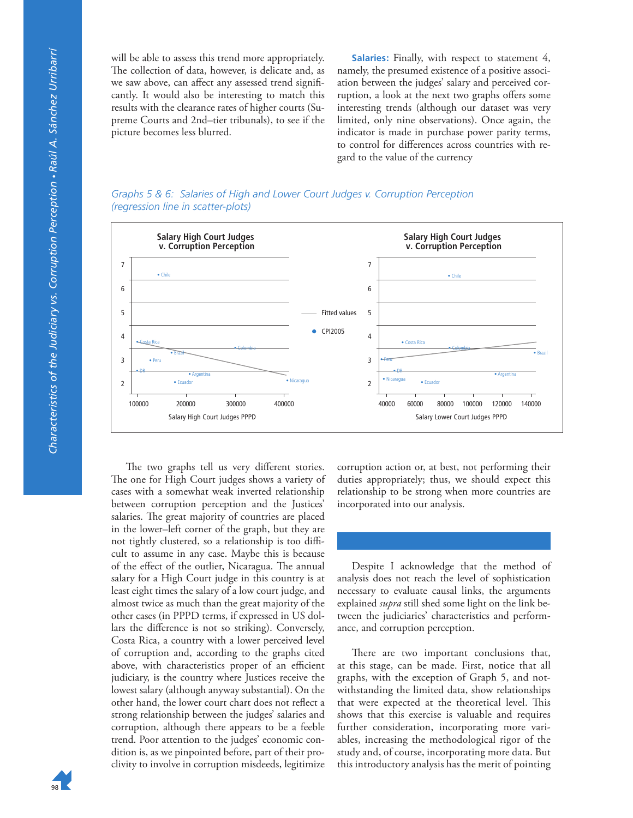will be able to assess this trend more appropriately. The collection of data, however, is delicate and, as we saw above, can affect any assessed trend significantly. It would also be interesting to match this results with the clearance rates of higher courts (Supreme Courts and 2nd–tier tribunals), to see if the picture becomes less blurred.

**Salaries:** Finally, with respect to statement 4, namely, the presumed existence of a positive association between the judges' salary and perceived corruption, a look at the next two graphs offers some interesting trends (although our dataset was very limited, only nine observations). Once again, the indicator is made in purchase power parity terms, to control for differences across countries with regard to the value of the currency

*Graphs 5 & 6: Salaries of High and Lower Court Judges v. Corruption Perception (regression line in scatter-plots)*



The two graphs tell us very different stories. The one for High Court judges shows a variety of cases with a somewhat weak inverted relationship between corruption perception and the Justices' salaries. The great majority of countries are placed in the lower–left corner of the graph, but they are not tightly clustered, so a relationship is too difficult to assume in any case. Maybe this is because of the effect of the outlier, Nicaragua. The annual salary for a High Court judge in this country is at least eight times the salary of a low court judge, and almost twice as much than the great majority of the other cases (in PPPD terms, if expressed in US dollars the difference is not so striking). Conversely, Costa Rica, a country with a lower perceived level of corruption and, according to the graphs cited above, with characteristics proper of an efficient judiciary, is the country where Justices receive the lowest salary (although anyway substantial). On the other hand, the lower court chart does not reflect a strong relationship between the judges' salaries and corruption, although there appears to be a feeble trend. Poor attention to the judges' economic condition is, as we pinpointed before, part of their proclivity to involve in corruption misdeeds, legitimize

corruption action or, at best, not performing their duties appropriately; thus, we should expect this relationship to be strong when more countries are incorporated into our analysis.

Despite I acknowledge that the method of analysis does not reach the level of sophistication necessary to evaluate causal links, the arguments explained *supra* still shed some light on the link between the judiciaries' characteristics and performance, and corruption perception.

There are two important conclusions that, at this stage, can be made. First, notice that all graphs, with the exception of Graph 5, and notwithstanding the limited data, show relationships that were expected at the theoretical level. This shows that this exercise is valuable and requires further consideration, incorporating more variables, increasing the methodological rigor of the study and, of course, incorporating more data. But this introductory analysis has the merit of pointing